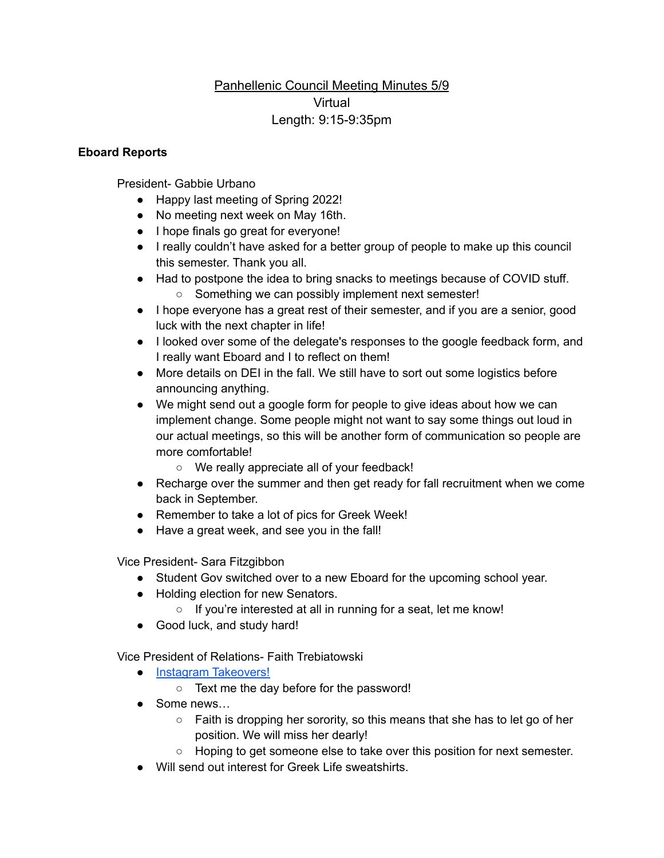## Panhellenic Council Meeting Minutes 5/9 Virtual Length: 9:15-9:35pm

## **Eboard Reports**

President- Gabbie Urbano

- Happy last meeting of Spring 2022!
- No meeting next week on May 16th.
- I hope finals go great for everyone!
- I really couldn't have asked for a better group of people to make up this council this semester. Thank you all.
- Had to postpone the idea to bring snacks to meetings because of COVID stuff.
	- Something we can possibly implement next semester!
- I hope everyone has a great rest of their semester, and if you are a senior, good luck with the next chapter in life!
- I looked over some of the delegate's responses to the google feedback form, and I really want Eboard and I to reflect on them!
- More details on DEI in the fall. We still have to sort out some logistics before announcing anything.
- We might send out a google form for people to give ideas about how we can implement change. Some people might not want to say some things out loud in our actual meetings, so this will be another form of communication so people are more comfortable!
	- We really appreciate all of your feedback!
- Recharge over the summer and then get ready for fall recruitment when we come back in September.
- Remember to take a lot of pics for Greek Week!
- Have a great week, and see you in the fall!

Vice President- Sara Fitzgibbon

- Student Gov switched over to a new Eboard for the upcoming school year.
- Holding election for new Senators.
	- If you're interested at all in running for a seat, let me know!
- Good luck, and study hard!

Vice President of Relations- Faith Trebiatowski

- Instagram [Takeovers!](https://docs.google.com/spreadsheets/d/13yPrm-dBPlVV7swSlvzhIm-HfQHD4WR9DeArec2AXsw/edit#gid=0)
	- Text me the day before for the password!
- Some news...
	- Faith is dropping her sorority, so this means that she has to let go of her position. We will miss her dearly!
	- Hoping to get someone else to take over this position for next semester.
- Will send out interest for Greek Life sweatshirts.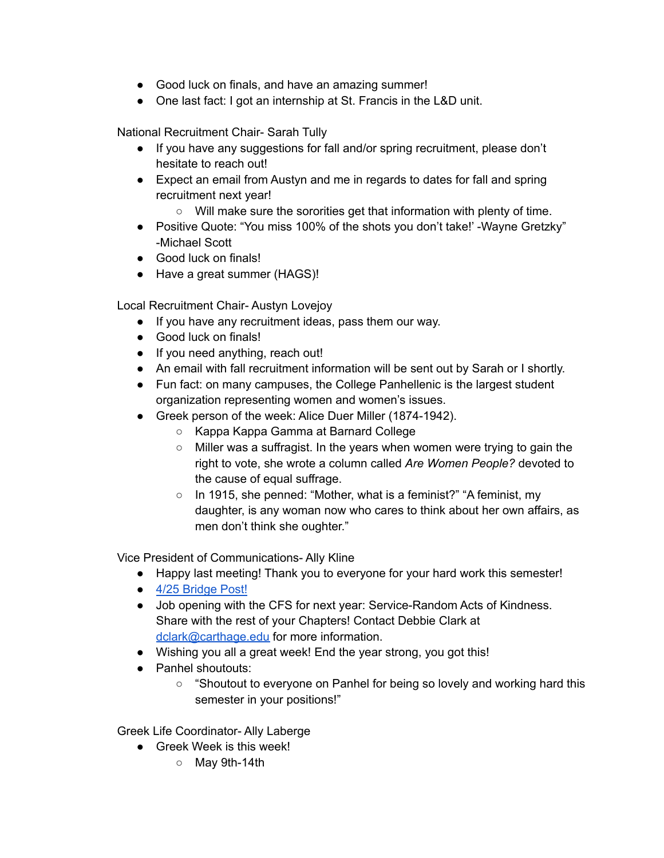- Good luck on finals, and have an amazing summer!
- One last fact: I got an internship at St. Francis in the L&D unit.

National Recruitment Chair- Sarah Tully

- If you have any suggestions for fall and/or spring recruitment, please don't hesitate to reach out!
- Expect an email from Austyn and me in regards to dates for fall and spring recruitment next year!
	- Will make sure the sororities get that information with plenty of time.
- Positive Quote: "You miss 100% of the shots you don't take!' -Wayne Gretzky" -Michael Scott
- Good luck on finals!
- Have a great summer (HAGS)!

Local Recruitment Chair- Austyn Lovejoy

- If you have any recruitment ideas, pass them our way.
- Good luck on finals!
- If you need anything, reach out!
- An email with fall recruitment information will be sent out by Sarah or I shortly.
- Fun fact: on many campuses, the College Panhellenic is the largest student organization representing women and women's issues.
- Greek person of the week: Alice Duer Miller (1874-1942).
	- Kappa Kappa Gamma at Barnard College
	- Miller was a suffragist. In the years when women were trying to gain the right to vote, she wrote a column called *Are Women People?* devoted to the cause of equal suffrage.
	- In 1915, she penned: "Mother, what is a feminist?" "A feminist, my daughter, is any woman now who cares to think about her own affairs, as men don't think she oughter."

Vice President of Communications- Ally Kline

- Happy last meeting! Thank you to everyone for your hard work this semester!
- 4/25 [Bridge](https://www.carthage.edu/live/news/41986-read-the-panhellenic-councils-meeting-minutes-from) Post!
- Job opening with the CFS for next year: Service-Random Acts of Kindness. Share with the rest of your Chapters! Contact Debbie Clark at [dclark@carthage.edu](mailto:dclark@carthage.edu) for more information.
- Wishing you all a great week! End the year strong, you got this!
- Panhel shoutouts:
	- "Shoutout to everyone on Panhel for being so lovely and working hard this semester in your positions!"

Greek Life Coordinator- Ally Laberge

- Greek Week is this week!
	- May 9th-14th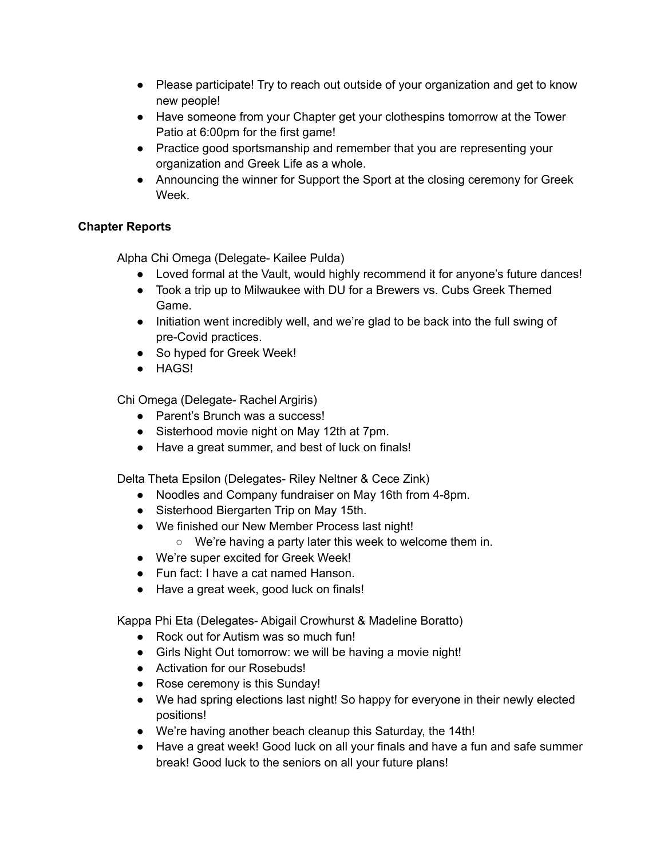- Please participate! Try to reach out outside of your organization and get to know new people!
- Have someone from your Chapter get your clothespins tomorrow at the Tower Patio at 6:00pm for the first game!
- Practice good sportsmanship and remember that you are representing your organization and Greek Life as a whole.
- Announcing the winner for Support the Sport at the closing ceremony for Greek Week.

## **Chapter Reports**

Alpha Chi Omega (Delegate- Kailee Pulda)

- Loved formal at the Vault, would highly recommend it for anyone's future dances!
- Took a trip up to Milwaukee with DU for a Brewers vs. Cubs Greek Themed Game.
- Initiation went incredibly well, and we're glad to be back into the full swing of pre-Covid practices.
- So hyped for Greek Week!
- HAGS!

Chi Omega (Delegate- Rachel Argiris)

- Parent's Brunch was a success!
- Sisterhood movie night on May 12th at 7pm.
- Have a great summer, and best of luck on finals!

Delta Theta Epsilon (Delegates- Riley Neltner & Cece Zink)

- Noodles and Company fundraiser on May 16th from 4-8pm.
- Sisterhood Biergarten Trip on May 15th.
- We finished our New Member Process last night!
	- We're having a party later this week to welcome them in.
- We're super excited for Greek Week!
- Fun fact: I have a cat named Hanson.
- Have a great week, good luck on finals!

Kappa Phi Eta (Delegates- Abigail Crowhurst & Madeline Boratto)

- Rock out for Autism was so much fun!
- Girls Night Out tomorrow: we will be having a movie night!
- Activation for our Rosebuds!
- Rose ceremony is this Sunday!
- We had spring elections last night! So happy for everyone in their newly elected positions!
- We're having another beach cleanup this Saturday, the 14th!
- Have a great week! Good luck on all your finals and have a fun and safe summer break! Good luck to the seniors on all your future plans!